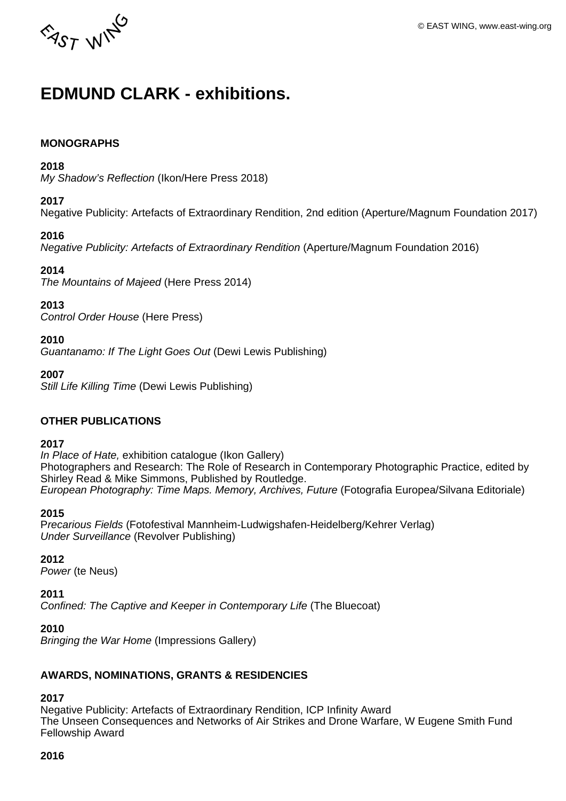

# **EDMUND CLARK - exhibitions.**

#### **MONOGRAPHS**

#### **2018**

My Shadow's Reflection (Ikon/Here Press 2018)

#### **2017**

Negative Publicity: Artefacts of Extraordinary Rendition, 2nd edition (Aperture/Magnum Foundation 2017)

#### **2016**

Negative Publicity: Artefacts of Extraordinary Rendition (Aperture/Magnum Foundation 2016)

#### **2014**

The Mountains of Majeed (Here Press 2014)

#### **2013**

Control Order House (Here Press)

**2010** 

Guantanamo: If The Light Goes Out (Dewi Lewis Publishing)

**2007** 

Still Life Killing Time (Dewi Lewis Publishing)

## **OTHER PUBLICATIONS**

#### **2017**

In Place of Hate, exhibition catalogue (Ikon Gallery) Photographers and Research: The Role of Research in Contemporary Photographic Practice, edited by Shirley Read & Mike Simmons, Published by Routledge. European Photography: Time Maps. Memory, Archives, Future (Fotografia Europea/Silvana Editoriale)

#### **2015**

Precarious Fields (Fotofestival Mannheim-Ludwigshafen-Heidelberg/Kehrer Verlag) Under Surveillance (Revolver Publishing)

#### **2012**

Power (te Neus)

#### **2011**

Confined: The Captive and Keeper in Contemporary Life (The Bluecoat)

#### **2010**

Bringing the War Home (Impressions Gallery)

## **AWARDS, NOMINATIONS, GRANTS & RESIDENCIES**

# **2017**

Negative Publicity: Artefacts of Extraordinary Rendition, ICP Infinity Award The Unseen Consequences and Networks of Air Strikes and Drone Warfare, W Eugene Smith Fund Fellowship Award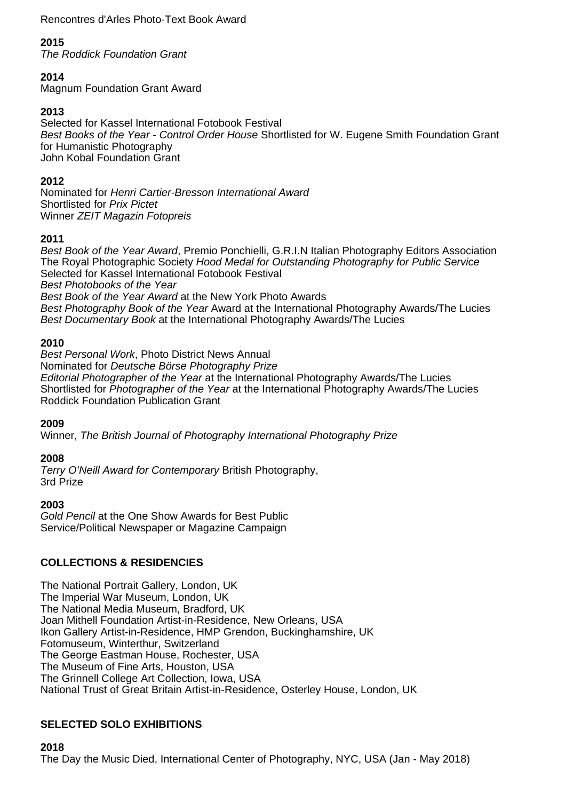Rencontres d'Arles Photo-Text Book Award

# **2015**

The Roddick Foundation Grant

# **2014**

Magnum Foundation Grant Award

# **2013**

Selected for Kassel International Fotobook Festival Best Books of the Year - Control Order House Shortlisted for W. Eugene Smith Foundation Grant for Humanistic Photography John Kobal Foundation Grant

# **2012**

Nominated for Henri Cartier-Bresson International Award Shortlisted for Prix Pictet Winner ZEIT Magazin Fotopreis

# **2011**

Best Book of the Year Award, Premio Ponchielli, G.R.I.N Italian Photography Editors Association The Royal Photographic Society Hood Medal for Outstanding Photography for Public Service Selected for Kassel International Fotobook Festival Best Photobooks of the Year Best Book of the Year Award at the New York Photo Awards Best Photography Book of the Year Award at the International Photography Awards/The Lucies Best Documentary Book at the International Photography Awards/The Lucies

# **2010**

Best Personal Work, Photo District News Annual Nominated for Deutsche Börse Photography Prize Editorial Photographer of the Year at the International Photography Awards/The Lucies Shortlisted for Photographer of the Year at the International Photography Awards/The Lucies Roddick Foundation Publication Grant

## **2009**

Winner, The British Journal of Photography International Photography Prize

## **2008**

Terry O'Neill Award for Contemporary British Photography, 3rd Prize

#### **2003**

Gold Pencil at the One Show Awards for Best Public Service/Political Newspaper or Magazine Campaign

# **COLLECTIONS & RESIDENCIES**

The National Portrait Gallery, London, UK The Imperial War Museum, London, UK The National Media Museum, Bradford, UK Joan Mithell Foundation Artist-in-Residence, New Orleans, USA Ikon Gallery Artist-in-Residence, HMP Grendon, Buckinghamshire, UK Fotomuseum, Winterthur, Switzerland The George Eastman House, Rochester, USA The Museum of Fine Arts, Houston, USA The Grinnell College Art Collection, Iowa, USA National Trust of Great Britain Artist-in-Residence, Osterley House, London, UK

# **SELECTED SOLO EXHIBITIONS**

The Day the Music Died, International Center of Photography, NYC, USA (Jan - May 2018)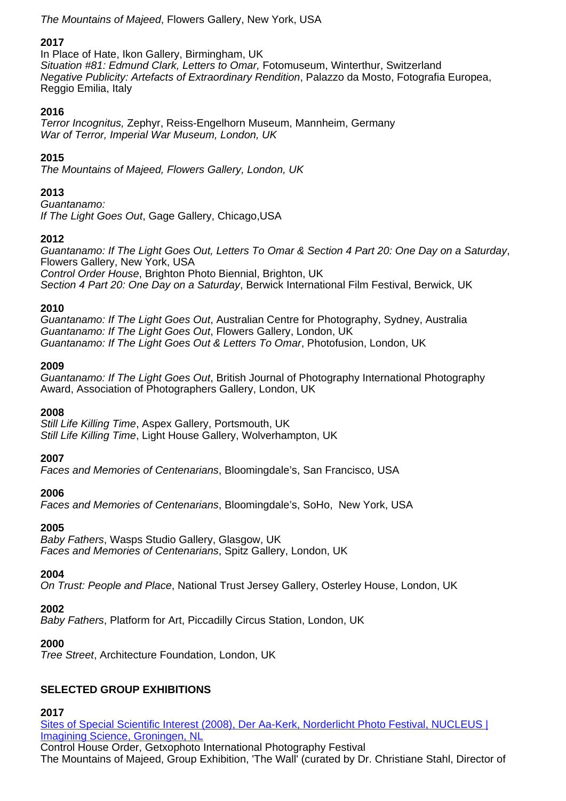The Mountains of Majeed, Flowers Gallery, New York, USA

# **2017**

In Place of Hate, Ikon Gallery, Birmingham, UK Situation #81: Edmund Clark, Letters to Omar, Fotomuseum, Winterthur, Switzerland Negative Publicity: Artefacts of Extraordinary Rendition, Palazzo da Mosto, Fotografia Europea, Reggio Emilia, Italy

## **2016**

Terror Incognitus, Zephyr, Reiss-Engelhorn Museum, Mannheim, Germany War of Terror, Imperial War Museum, London, UK

# **2015**

The Mountains of Majeed, Flowers Gallery, London, UK

## **2013**

Guantanamo: If The Light Goes Out, Gage Gallery, Chicago,USA

## **2012**

Guantanamo: If The Light Goes Out, Letters To Omar & Section 4 Part 20: One Day on a Saturday, Flowers Gallery, New York, USA Control Order House, Brighton Photo Biennial, Brighton, UK Section 4 Part 20: One Day on a Saturday, Berwick International Film Festival, Berwick, UK

## **2010**

Guantanamo: If The Light Goes Out, Australian Centre for Photography, Sydney, Australia Guantanamo: If The Light Goes Out, Flowers Gallery, London, UK Guantanamo: If The Light Goes Out & Letters To Omar, Photofusion, London, UK

#### **2009**

Guantanamo: If The Light Goes Out, British Journal of Photography International Photography Award, Association of Photographers Gallery, London, UK

#### **2008**

Still Life Killing Time, Aspex Gallery, Portsmouth, UK Still Life Killing Time, Light House Gallery, Wolverhampton, UK

#### **2007**

Faces and Memories of Centenarians, Bloomingdale's, San Francisco, USA

## **2006**

Faces and Memories of Centenarians, Bloomingdale's, SoHo, New York, USA

## **2005**

Baby Fathers, Wasps Studio Gallery, Glasgow, UK Faces and Memories of Centenarians, Spitz Gallery, London, UK

#### **2004**

On Trust: People and Place, National Trust Jersey Gallery, Osterley House, London, UK

## **2002**

Baby Fathers, Platform for Art, Piccadilly Circus Station, London, UK

## **2000**

Tree Street, Architecture Foundation, London, UK

# **SELECTED GROUP EXHIBITIONS**

#### **2017**

[Sites of Special Scientific Interest \(2008\), Der Aa-Kerk, Norderlicht Photo Festival, NUCLEUS |](http://www.noorderlicht.com/en/photofestival/nucleus-imagining-science/exhibitions/) [Imagining Science, Groningen, NL](http://www.noorderlicht.com/en/photofestival/nucleus-imagining-science/exhibitions/)

Control House Order, Getxophoto International Photography Festival The Mountains of Majeed, Group Exhibition, 'The Wall' (curated by Dr. Christiane Stahl, Director of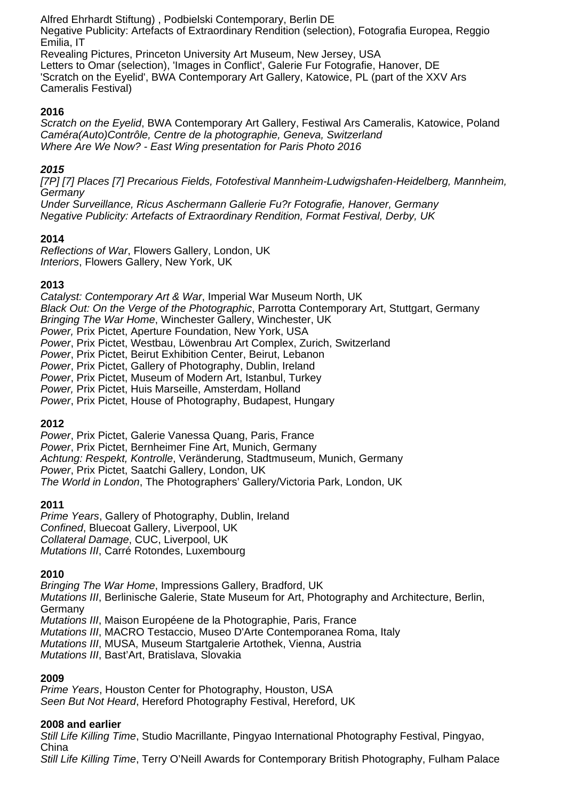Alfred Ehrhardt Stiftung) , Podbielski Contemporary, Berlin DE Negative Publicity: Artefacts of Extraordinary Rendition (selection), Fotografia Europea, Reggio Emilia, IT Revealing Pictures, Princeton University Art Museum, New Jersey, USA Letters to Omar (selection), 'Images in Conflict', Galerie Fur Fotografie, Hanover, DE 'Scratch on the Eyelid', BWA Contemporary Art Gallery, Katowice, PL (part of the XXV Ars Cameralis Festival)

## **2016**

Scratch on the Eyelid, BWA Contemporary Art Gallery, Festiwal Ars Cameralis, Katowice, Poland Caméra(Auto)Contrôle, Centre de la photographie, Geneva, Switzerland Where Are We Now? - East Wing presentation for Paris Photo 2016

# **2015**

[7P] [7] Places [7] Precarious Fields, Fotofestival Mannheim-Ludwigshafen-Heidelberg, Mannheim, **Germany** 

Under Surveillance, Ricus Aschermann Gallerie Fu?r Fotografie, Hanover, Germany Negative Publicity: Artefacts of Extraordinary Rendition, Format Festival, Derby, UK

## **2014**

Reflections of War, Flowers Gallery, London, UK Interiors, Flowers Gallery, New York, UK

# **2013**

Catalyst: Contemporary Art & War, Imperial War Museum North, UK Black Out: On the Verge of the Photographic, Parrotta Contemporary Art, Stuttgart, Germany Bringing The War Home, Winchester Gallery, Winchester, UK Power, Prix Pictet, Aperture Foundation, New York, USA Power, Prix Pictet, Westbau, Löwenbrau Art Complex, Zurich, Switzerland Power, Prix Pictet, Beirut Exhibition Center, Beirut, Lebanon Power, Prix Pictet, Gallery of Photography, Dublin, Ireland Power, Prix Pictet, Museum of Modern Art, Istanbul, Turkey Power, Prix Pictet, Huis Marseille, Amsterdam, Holland Power, Prix Pictet, House of Photography, Budapest, Hungary **2012**  Power, Prix Pictet, Galerie Vanessa Quang, Paris, France Power, Prix Pictet, Bernheimer Fine Art, Munich, Germany

Achtung: Respekt, Kontrolle, Veränderung, Stadtmuseum, Munich, Germany Power, Prix Pictet, Saatchi Gallery, London, UK

The World in London, The Photographers' Gallery/Victoria Park, London, UK

## **2011**

Prime Years, Gallery of Photography, Dublin, Ireland Confined, Bluecoat Gallery, Liverpool, UK Collateral Damage, CUC, Liverpool, UK Mutations III, Carré Rotondes, Luxembourg

## **2010**

Bringing The War Home, Impressions Gallery, Bradford, UK Mutations III, Berlinische Galerie, State Museum for Art, Photography and Architecture, Berlin, Germany Mutations III, Maison Européene de la Photographie, Paris, France Mutations III, MACRO Testaccio, Museo D'Arte Contemporanea Roma, Italy Mutations III, MUSA, Museum Startgalerie Artothek, Vienna, Austria Mutations III, Bast'Art, Bratislava, Slovakia

## **2009**

Prime Years, Houston Center for Photography, Houston, USA Seen But Not Heard, Hereford Photography Festival, Hereford, UK

## **2008 and earlier**

Still Life Killing Time, Studio Macrillante, Pingyao International Photography Festival, Pingyao, China

Still Life Killing Time, Terry O'Neill Awards for Contemporary British Photography, Fulham Palace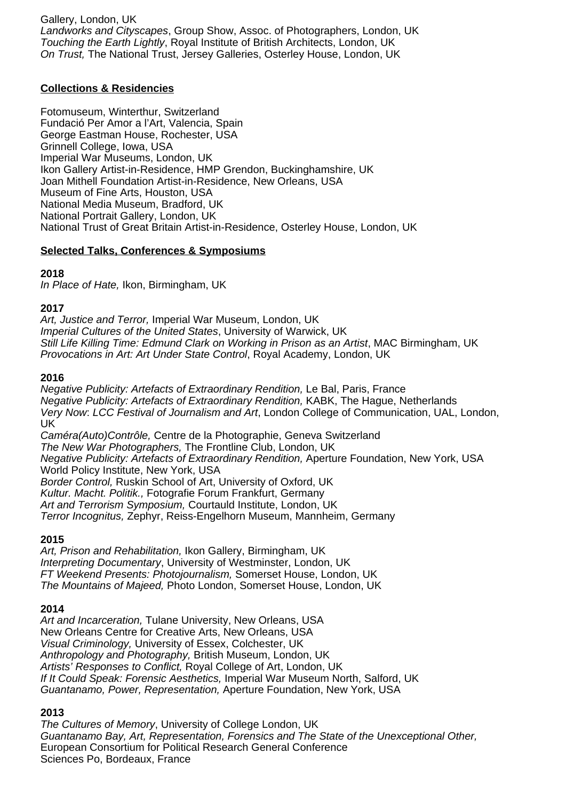Gallery, London, UK Landworks and Cityscapes, Group Show, Assoc. of Photographers, London, UK Touching the Earth Lightly, Royal Institute of British Architects, London, UK On Trust, The National Trust, Jersey Galleries, Osterley House, London, UK

## **Collections & Residencies**

Fotomuseum, Winterthur, Switzerland Fundació Per Amor a l'Art, Valencia, Spain George Eastman House, Rochester, USA Grinnell College, Iowa, USA Imperial War Museums, London, UK Ikon Gallery Artist-in-Residence, HMP Grendon, Buckinghamshire, UK Joan Mithell Foundation Artist-in-Residence, New Orleans, USA Museum of Fine Arts, Houston, USA National Media Museum, Bradford, UK National Portrait Gallery, London, UK National Trust of Great Britain Artist-in-Residence, Osterley House, London, UK

#### **Selected Talks, Conferences & Symposiums**

#### **2018**

In Place of Hate, Ikon, Birmingham, UK

#### **2017**

Art, Justice and Terror, Imperial War Museum, London, UK Imperial Cultures of the United States, University of Warwick, UK Still Life Killing Time: Edmund Clark on Working in Prison as an Artist, MAC Birmingham, UK Provocations in Art: Art Under State Control, Royal Academy, London, UK

#### **2016**

Negative Publicity: Artefacts of Extraordinary Rendition, Le Bal, Paris, France Negative Publicity: Artefacts of Extraordinary Rendition, KABK, The Hague, Netherlands Very Now: LCC Festival of Journalism and Art, London College of Communication, UAL, London, UK Caméra(Auto)Contrôle, Centre de la Photographie, Geneva Switzerland

The New War Photographers, The Frontline Club, London, UK Negative Publicity: Artefacts of Extraordinary Rendition, Aperture Foundation, New York, USA World Policy Institute, New York, USA Border Control, Ruskin School of Art, University of Oxford, UK Kultur. Macht. Politik., Fotografie Forum Frankfurt, Germany Art and Terrorism Symposium, Courtauld Institute, London, UK Terror Incognitus, Zephyr, Reiss-Engelhorn Museum, Mannheim, Germany

#### **2015**

Art, Prison and Rehabilitation, Ikon Gallery, Birmingham, UK Interpreting Documentary, University of Westminster, London, UK FT Weekend Presents: Photojournalism, Somerset House, London, UK The Mountains of Majeed, Photo London, Somerset House, London, UK

## **2014**

Art and Incarceration, Tulane University, New Orleans, USA New Orleans Centre for Creative Arts, New Orleans, USA Visual Criminology, University of Essex, Colchester, UK Anthropology and Photography, British Museum, London, UK Artists' Responses to Conflict, Royal College of Art, London, UK If It Could Speak: Forensic Aesthetics, Imperial War Museum North, Salford, UK Guantanamo, Power, Representation, Aperture Foundation, New York, USA

## **2013**

The Cultures of Memory, University of College London, UK Guantanamo Bay, Art, Representation, Forensics and The State of the Unexceptional Other, European Consortium for Political Research General Conference Sciences Po, Bordeaux, France